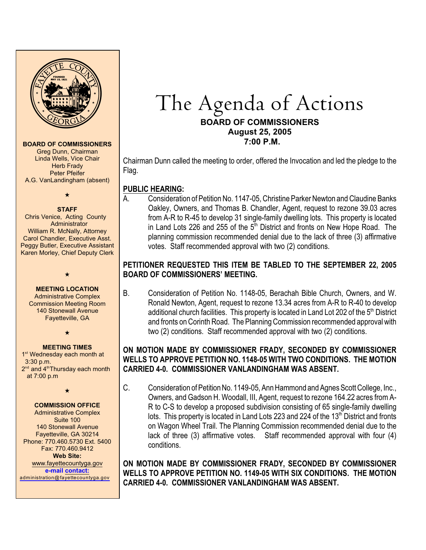

#### **BOARD OF COMMISSIONERS**

Greg Dunn, Chairman Linda Wells, Vice Chair Herb Frady Peter Pfeifer A.G. VanLandingham (absent)

 $\star$ 

#### **STAFF**

 Chris Venice, Acting County **Administrator** William R. McNally, Attorney Carol Chandler, Executive Asst. Peggy Butler, Executive Assistant Karen Morley, Chief Deputy Clerk

#### **MEETING LOCATION** Administrative Complex Commission Meeting Room 140 Stonewall Avenue Fayetteville, GA

 $\star$ 

 $\star$ 

#### **MEETING TIMES**

1<sup>st</sup> Wednesday each month at 3:30 p.m.  $2<sup>nd</sup>$  and  $4<sup>th</sup>$ Thursday each month at 7:00 p.m

#### $\star$

#### **COMMISSION OFFICE**

Administrative Complex Suite 100 140 Stonewall Avenue Fayetteville, GA 30214 Phone: 770.460.5730 Ext. 5400 Fax: 770.460.9412 **Web Site:** [www.fayettecountyga.gov](http://www.admin.co.fayette.ga.us) **e-mail [contact:](mailto:administration@fayettecountyga.gov)** [administration@fayettecountyga.gov](mailto:administration@fayettecountyga.gov)

# The Agenda of Actions **BOARD OF COMMISSIONERS August 25, 2005 7:00 P.M.**

Chairman Dunn called the meeting to order, offered the Invocation and led the pledge to the Flag.

# **PUBLIC HEARING:**

A. Consideration of Petition No. 1147-05, Christine Parker Newton and Claudine Banks Oakley, Owners, and Thomas B. Chandler, Agent, request to rezone 39.03 acres from A-R to R-45 to develop 31 single-family dwelling lots. This property is located in Land Lots 226 and 255 of the  $5<sup>th</sup>$  District and fronts on New Hope Road. The planning commission recommended denial due to the lack of three (3) affirmative votes. Staff recommended approval with two (2) conditions.

# **PETITIONER REQUESTED THIS ITEM BE TABLED TO THE SEPTEMBER 22, 2005 BOARD OF COMMISSIONERS' MEETING.**

B. Consideration of Petition No. 1148-05, Berachah Bible Church, Owners, and W. Ronald Newton, Agent, request to rezone 13.34 acres from A-R to R-40 to develop additional church facilities. This property is located in Land Lot 202 of the  $5<sup>th</sup>$  District and fronts on Corinth Road. The Planning Commission recommended approval with two (2) conditions. Staff recommended approval with two (2) conditions.

## **ON MOTION MADE BY COMMISSIONER FRADY, SECONDED BY COMMISSIONER WELLS TO APPROVE PETITION NO. 1148-05 WITH TWO CONDITIONS. THE MOTION CARRIED 4-0. COMMISSIONER VANLANDINGHAM WAS ABSENT.**

C. Consideration of Petition No. 1149-05, Ann Hammond and Agnes Scott College, Inc., Owners, and Gadson H. Woodall, III, Agent, request to rezone 164.22 acres from A-R to C-S to develop a proposed subdivision consisting of 65 single-family dwelling lots. This property is located in Land Lots 223 and 224 of the 13<sup>th</sup> District and fronts on Wagon Wheel Trail. The Planning Commission recommended denial due to the lack of three (3) affirmative votes. Staff recommended approval with four (4) conditions.

**ON MOTION MADE BY COMMISSIONER FRADY, SECONDED BY COMMISSIONER WELLS TO APPROVE PETITION NO. 1149-05 WITH SIX CONDITIONS. THE MOTION CARRIED 4-0. COMMISSIONER VANLANDINGHAM WAS ABSENT.**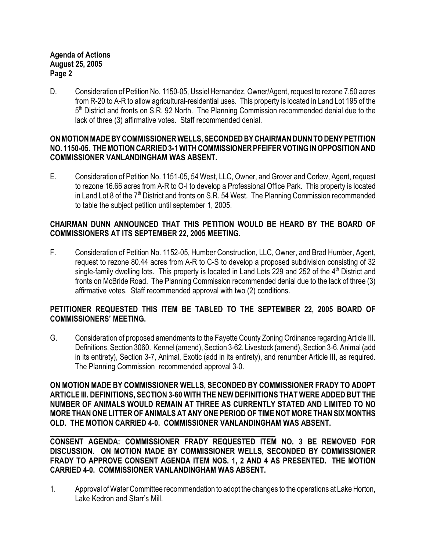## **Agenda of Actions August 25, 2005 Page 2**

D. Consideration of Petition No. 1150-05, Ussiel Hernandez, Owner/Agent, request to rezone 7.50 acres from R-20 to A-R to allow agricultural-residential uses. This property is located in Land Lot 195 of the 5<sup>th</sup> District and fronts on S.R. 92 North. The Planning Commission recommended denial due to the lack of three (3) affirmative votes. Staff recommended denial.

#### **ON MOTION MADE BY COMMISSIONER WELLS, SECONDED BY CHAIRMAN DUNN TO DENY PETITION NO. 1150-05. THE MOTION CARRIED 3-1 WITH COMMISSIONER PFEIFER VOTING IN OPPOSITION AND COMMISSIONER VANLANDINGHAM WAS ABSENT.**

E. Consideration of Petition No. 1151-05, 54 West, LLC, Owner, and Grover and Corlew, Agent, request to rezone 16.66 acres from A-R to O-I to develop a Professional Office Park. This property is located in Land Lot 8 of the  $7<sup>th</sup>$  District and fronts on S.R. 54 West. The Planning Commission recommended to table the subject petition until september 1, 2005.

## **CHAIRMAN DUNN ANNOUNCED THAT THIS PETITION WOULD BE HEARD BY THE BOARD OF COMMISSIONERS AT ITS SEPTEMBER 22, 2005 MEETING.**

F. Consideration of Petition No. 1152-05, Humber Construction, LLC, Owner, and Brad Humber, Agent, request to rezone 80.44 acres from A-R to C-S to develop a proposed subdivision consisting of 32 single-family dwelling lots. This property is located in Land Lots 229 and 252 of the 4<sup>th</sup> District and fronts on McBride Road. The Planning Commission recommended denial due to the lack of three (3) affirmative votes. Staff recommended approval with two (2) conditions.

## **PETITIONER REQUESTED THIS ITEM BE TABLED TO THE SEPTEMBER 22, 2005 BOARD OF COMMISSIONERS' MEETING.**

G. Consideration of proposed amendments to the Fayette County Zoning Ordinance regarding Article III. Definitions, Section 3060. Kennel (amend), Section 3-62, Livestock (amend), Section 3-6. Animal (add in its entirety), Section 3-7, Animal, Exotic (add in its entirety), and renumber Article III, as required. The Planning Commission recommended approval 3-0.

**ON MOTION MADE BY COMMISSIONER WELLS, SECONDED BY COMMISSIONER FRADY TO ADOPT ARTICLE III. DEFINITIONS, SECTION 3-60 WITH THE NEW DEFINITIONS THAT WERE ADDED BUT THE NUMBER OF ANIMALS WOULD REMAIN AT THREE AS CURRENTLY STATED AND LIMITED TO NO MORE THAN ONE LITTER OF ANIMALS AT ANY ONE PERIOD OF TIME NOT MORE THAN SIX MONTHS OLD. THE MOTION CARRIED 4-0. COMMISSIONER VANLANDINGHAM WAS ABSENT.**

**CONSENT AGENDA: COMMISSIONER FRADY REQUESTED ITEM NO. 3 BE REMOVED FOR DISCUSSION. ON MOTION MADE BY COMMISSIONER WELLS, SECONDED BY COMMISSIONER FRADY TO APPROVE CONSENT AGENDA ITEM NOS. 1, 2 AND 4 AS PRESENTED. THE MOTION CARRIED 4-0. COMMISSIONER VANLANDINGHAM WAS ABSENT.** 

1. Approval of Water Committee recommendation to adopt the changes to the operations at Lake Horton, Lake Kedron and Starr's Mill.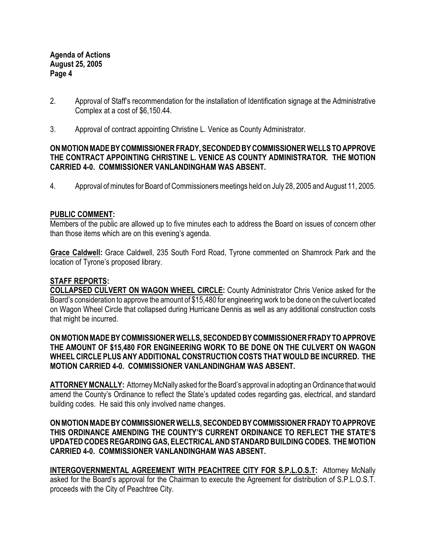**Agenda of Actions August 25, 2005 Page 4**

- 2. Approval of Staff's recommendation for the installation of Identification signage at the Administrative Complex at a cost of \$6,150.44.
- 3. Approval of contract appointing Christine L. Venice as County Administrator.

### **ON MOTION MADE BY COMMISSIONER FRADY, SECONDED BY COMMISSIONER WELLS TO APPROVE THE CONTRACT APPOINTING CHRISTINE L. VENICE AS COUNTY ADMINISTRATOR. THE MOTION CARRIED 4-0. COMMISSIONER VANLANDINGHAM WAS ABSENT.**

4. Approval of minutes for Board of Commissioners meetings held on July 28, 2005 and August 11, 2005.

## **PUBLIC COMMENT:**

Members of the public are allowed up to five minutes each to address the Board on issues of concern other than those items which are on this evening's agenda.

**Grace Caldwell:** Grace Caldwell, 235 South Ford Road, Tyrone commented on Shamrock Park and the location of Tyrone's proposed library.

## **STAFF REPORTS:**

**COLLAPSED CULVERT ON WAGON WHEEL CIRCLE:** County Administrator Chris Venice asked for the Board's consideration to approve the amount of \$15,480 for engineering work to be done on the culvert located on Wagon Wheel Circle that collapsed during Hurricane Dennis as well as any additional construction costs that might be incurred.

#### **ON MOTION MADE BY COMMISSIONER WELLS, SECONDED BY COMMISSIONER FRADY TO APPROVE THE AMOUNT OF \$15,480 FOR ENGINEERING WORK TO BE DONE ON THE CULVERT ON WAGON WHEEL CIRCLE PLUS ANY ADDITIONAL CONSTRUCTION COSTS THAT WOULD BE INCURRED. THE MOTION CARRIED 4-0. COMMISSIONER VANLANDINGHAM WAS ABSENT.**

**ATTORNEY MCNALLY:** Attorney McNally asked for the Board's approval in adopting an Ordinance that would amend the County's Ordinance to reflect the State's updated codes regarding gas, electrical, and standard building codes. He said this only involved name changes.

### **ON MOTION MADE BY COMMISSIONER WELLS, SECONDED BY COMMISSIONER FRADY TO APPROVE THIS ORDINANCE AMENDING THE COUNTY'S CURRENT ORDINANCE TO REFLECT THE STATE'S UPDATED CODES REGARDING GAS, ELECTRICAL AND STANDARD BUILDING CODES. THE MOTION CARRIED 4-0. COMMISSIONER VANLANDINGHAM WAS ABSENT.**

**INTERGOVERNMENTAL AGREEMENT WITH PEACHTREE CITY FOR S.P.L.O.S.T:** Attorney McNally asked for the Board's approval for the Chairman to execute the Agreement for distribution of S.P.L.O.S.T. proceeds with the City of Peachtree City.